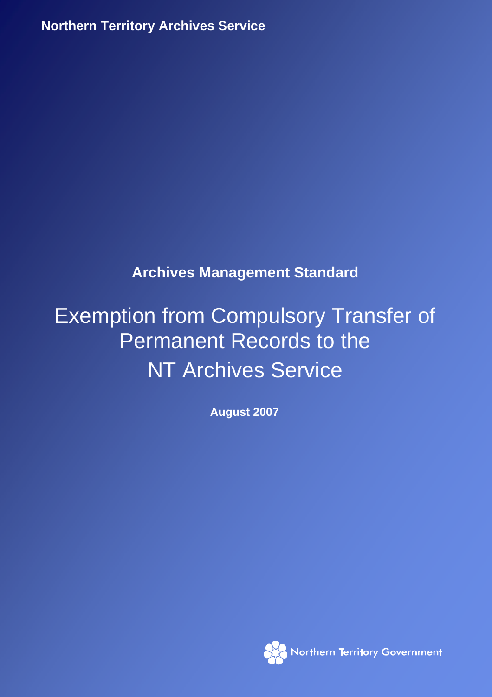**Northern Territory Archives Service**

# **Archives Management Standard**

# Exemption from Compulsory Transfer of Permanent Records to the NT Archives Service

**August 2007** 

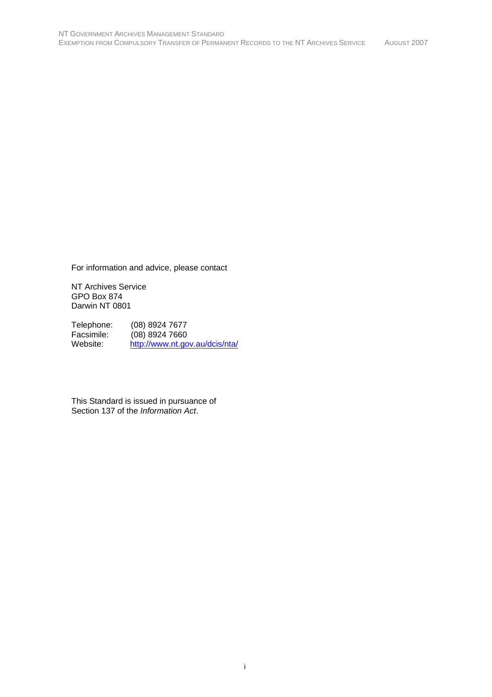For information and advice, please contact

NT Archives Service GPO Box 874 Darwin NT 0801

Telephone: (08) 8924 7677 Facsimile: (08) 8924 7660<br>Website: http://www.nt.go http://www.nt.gov.au/dcis/nta/

This Standard is issued in pursuance of Section 137 of the *Information Act*.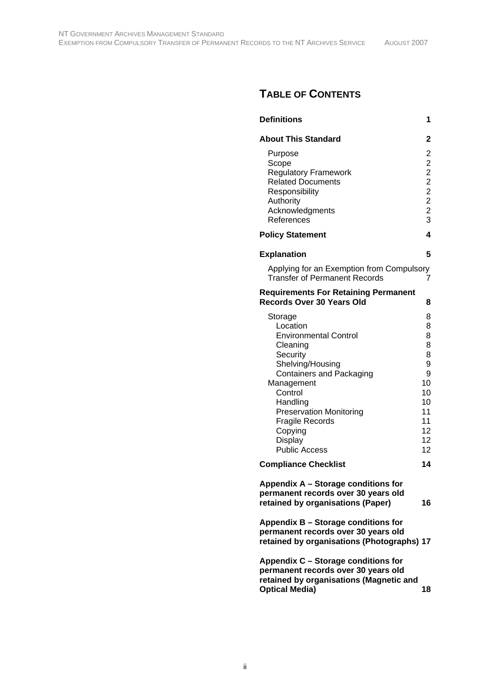# **TABLE OF CONTENTS**

| <b>Definitions</b>                                                                                                                                                                                                                                                                | 1                                                                               |  |  |  |
|-----------------------------------------------------------------------------------------------------------------------------------------------------------------------------------------------------------------------------------------------------------------------------------|---------------------------------------------------------------------------------|--|--|--|
| <b>About This Standard</b>                                                                                                                                                                                                                                                        | 2                                                                               |  |  |  |
| Purpose<br>Scope<br><b>Regulatory Framework</b><br><b>Related Documents</b><br>Responsibility<br>Authority<br>Acknowledgments<br>References                                                                                                                                       | 2222223                                                                         |  |  |  |
| <b>Policy Statement</b>                                                                                                                                                                                                                                                           | 4                                                                               |  |  |  |
| <b>Explanation</b>                                                                                                                                                                                                                                                                | 5                                                                               |  |  |  |
| Applying for an Exemption from Compulsory<br><b>Transfer of Permanent Records</b>                                                                                                                                                                                                 | 7                                                                               |  |  |  |
| <b>Requirements For Retaining Permanent</b><br>Records Over 30 Years Old<br>8                                                                                                                                                                                                     |                                                                                 |  |  |  |
| Storage<br>Location<br><b>Environmental Control</b><br>Cleaning<br>Security<br>Shelving/Housing<br><b>Containers and Packaging</b><br>Management<br>Control<br>Handling<br><b>Preservation Monitoring</b><br><b>Fragile Records</b><br>Copying<br>Display<br><b>Public Access</b> | 8<br>8<br>8<br>8<br>8<br>9<br>9<br>10<br>10<br>10<br>11<br>11<br>12<br>12<br>12 |  |  |  |
| <b>Compliance Checklist</b>                                                                                                                                                                                                                                                       | 14                                                                              |  |  |  |
| Appendix A - Storage conditions for<br>permanent records over 30 years old<br>retained by organisations (Paper)                                                                                                                                                                   | 16                                                                              |  |  |  |
| Appendix B - Storage conditions for<br>permanent records over 30 years old<br>retained by organisations (Photographs) 17                                                                                                                                                          |                                                                                 |  |  |  |
| Appendix C - Storage conditions for<br>permanent records over 30 years old<br>retained by organisations (Magnetic and<br><b>Optical Media)</b>                                                                                                                                    | 18                                                                              |  |  |  |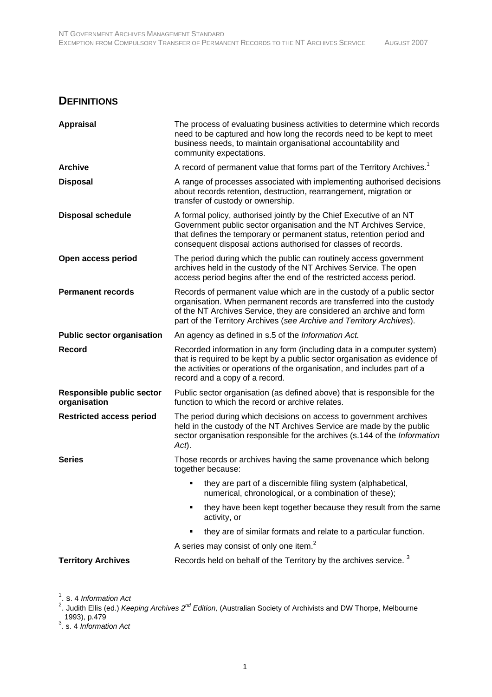# **DEFINITIONS**

| <b>Appraisal</b>                                 | The process of evaluating business activities to determine which records<br>need to be captured and how long the records need to be kept to meet<br>business needs, to maintain organisational accountability and<br>community expectations.                                                   |  |  |
|--------------------------------------------------|------------------------------------------------------------------------------------------------------------------------------------------------------------------------------------------------------------------------------------------------------------------------------------------------|--|--|
| <b>Archive</b>                                   | A record of permanent value that forms part of the Territory Archives. <sup>1</sup>                                                                                                                                                                                                            |  |  |
| <b>Disposal</b>                                  | A range of processes associated with implementing authorised decisions<br>about records retention, destruction, rearrangement, migration or<br>transfer of custody or ownership.                                                                                                               |  |  |
| <b>Disposal schedule</b>                         | A formal policy, authorised jointly by the Chief Executive of an NT<br>Government public sector organisation and the NT Archives Service,<br>that defines the temporary or permanent status, retention period and<br>consequent disposal actions authorised for classes of records.            |  |  |
| Open access period                               | The period during which the public can routinely access government<br>archives held in the custody of the NT Archives Service. The open<br>access period begins after the end of the restricted access period.                                                                                 |  |  |
| <b>Permanent records</b>                         | Records of permanent value which are in the custody of a public sector<br>organisation. When permanent records are transferred into the custody<br>of the NT Archives Service, they are considered an archive and form<br>part of the Territory Archives (see Archive and Territory Archives). |  |  |
| <b>Public sector organisation</b>                | An agency as defined in s.5 of the Information Act.                                                                                                                                                                                                                                            |  |  |
| <b>Record</b>                                    | Recorded information in any form (including data in a computer system)<br>that is required to be kept by a public sector organisation as evidence of<br>the activities or operations of the organisation, and includes part of a<br>record and a copy of a record.                             |  |  |
| <b>Responsible public sector</b><br>organisation | Public sector organisation (as defined above) that is responsible for the<br>function to which the record or archive relates.                                                                                                                                                                  |  |  |
| <b>Restricted access period</b>                  | The period during which decisions on access to government archives<br>held in the custody of the NT Archives Service are made by the public<br>sector organisation responsible for the archives (s.144 of the Information<br>Act).                                                             |  |  |
| <b>Series</b>                                    | Those records or archives having the same provenance which belong<br>together because:                                                                                                                                                                                                         |  |  |
|                                                  | they are part of a discernible filing system (alphabetical,<br>numerical, chronological, or a combination of these);                                                                                                                                                                           |  |  |
|                                                  | they have been kept together because they result from the same<br>activity, or                                                                                                                                                                                                                 |  |  |
|                                                  | they are of similar formats and relate to a particular function.                                                                                                                                                                                                                               |  |  |
|                                                  | A series may consist of only one item. <sup>2</sup>                                                                                                                                                                                                                                            |  |  |
| <b>Territory Archives</b>                        | Records held on behalf of the Territory by the archives service. <sup>3</sup>                                                                                                                                                                                                                  |  |  |

<sup>1</sup>. s. 4 *Information Act*<br><sup>2</sup>. Judith Ellis (ed.) *Keeping Archives 2<sup>nd</sup> Edition,* (Australian Society of Archivists and DW Thorpe, Melbourne 1993), p.479 3 . s. 4 *Information Act*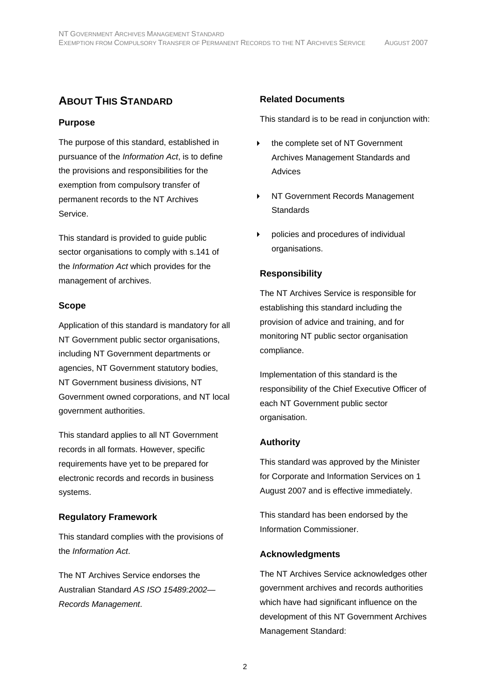# **ABOUT THIS STANDARD**

# **Purpose**

The purpose of this standard, established in pursuance of the *Information Act*, is to define the provisions and responsibilities for the exemption from compulsory transfer of permanent records to the NT Archives Service.

This standard is provided to guide public sector organisations to comply with s.141 of the *Information Act* which provides for the management of archives.

# **Scope**

Application of this standard is mandatory for all NT Government public sector organisations, including NT Government departments or agencies, NT Government statutory bodies, NT Government business divisions, NT Government owned corporations, and NT local government authorities.

This standard applies to all NT Government records in all formats. However, specific requirements have yet to be prepared for electronic records and records in business systems.

# **Regulatory Framework**

This standard complies with the provisions of the *Information Act*.

The NT Archives Service endorses the Australian Standard *AS ISO 15489:2002— Records Management*.

# **Related Documents**

This standard is to be read in conjunction with:

- the complete set of NT Government Archives Management Standards and Advices
- ▶ NT Government Records Management **Standards**
- policies and procedures of individual organisations.

# **Responsibility**

The NT Archives Service is responsible for establishing this standard including the provision of advice and training, and for monitoring NT public sector organisation compliance.

Implementation of this standard is the responsibility of the Chief Executive Officer of each NT Government public sector organisation.

# **Authority**

This standard was approved by the Minister for Corporate and Information Services on 1 August 2007 and is effective immediately.

This standard has been endorsed by the Information Commissioner.

# **Acknowledgments**

The NT Archives Service acknowledges other government archives and records authorities which have had significant influence on the development of this NT Government Archives Management Standard: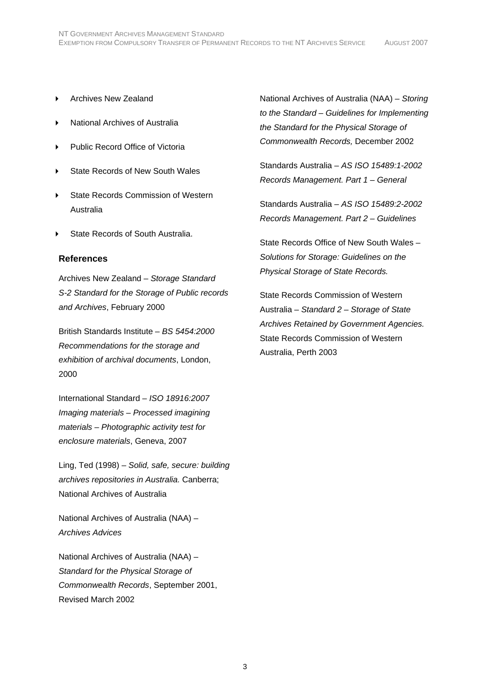- ▶ Archives New Zealand
- National Archives of Australia
- Public Record Office of Victoria
- State Records of New South Wales
- State Records Commission of Western Australia
- State Records of South Australia.

#### **References**

Archives New Zealand – *Storage Standard S-2 Standard for the Storage of Public records and Archives*, February 2000

British Standards Institute – *BS 5454:2000 Recommendations for the storage and exhibition of archival documents*, London, 2000

International Standard – *ISO 18916:2007 Imaging materials – Processed imagining materials – Photographic activity test for enclosure materials*, Geneva, 2007

Ling, Ted (1998) – *Solid, safe, secure: building archives repositories in Australia.* Canberra; National Archives of Australia

National Archives of Australia (NAA) – *Archives Advices*

National Archives of Australia (NAA) – *Standard for the Physical Storage of Commonwealth Records*, September 2001, Revised March 2002

National Archives of Australia (NAA) – *Storing to the Standard – Guidelines for Implementing the Standard for the Physical Storage of Commonwealth Records,* December 2002

Standards Australia – *AS ISO 15489:1-2002 Records Management. Part 1 – General* 

Standards Australia – *AS ISO 15489:2-2002 Records Management. Part 2 – Guidelines* 

State Records Office of New South Wales – *Solutions for Storage: Guidelines on the Physical Storage of State Records.*

State Records Commission of Western Australia – *Standard 2 – Storage of State Archives Retained by Government Agencies.* State Records Commission of Western Australia, Perth 2003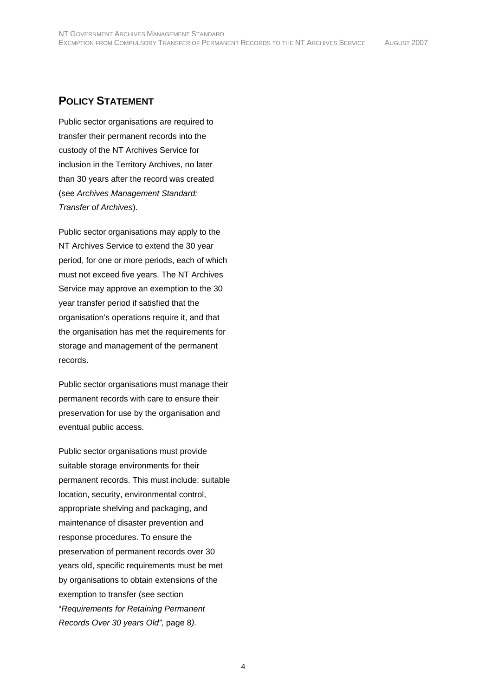# **POLICY STATEMENT**

Public sector organisations are required to transfer their permanent records into the custody of the NT Archives Service for inclusion in the Territory Archives, no later than 30 years after the record was created (see *Archives Management Standard: Transfer of Archives*).

Public sector organisations may apply to the NT Archives Service to extend the 30 year period, for one or more periods, each of which must not exceed five years. The NT Archives Service may approve an exemption to the 30 year transfer period if satisfied that the organisation's operations require it, and that the organisation has met the requirements for storage and management of the permanent records.

Public sector organisations must manage their permanent records with care to ensure their preservation for use by the organisation and eventual public access.

Public sector organisations must provide suitable storage environments for their permanent records. This must include: suitable location, security, environmental control, appropriate shelving and packaging, and maintenance of disaster prevention and response procedures. To ensure the preservation of permanent records over 30 years old, specific requirements must be met by organisations to obtain extensions of the exemption to transfer (see section "*Requirements for Retaining Permanent Records Over 30 years Old",* page 8*).*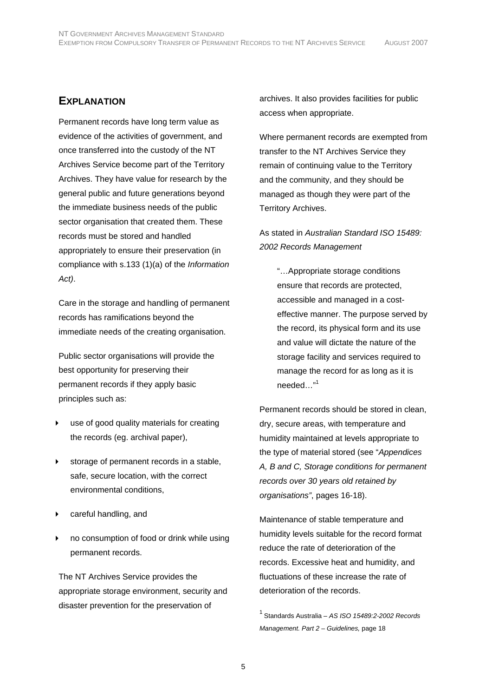# **EXPLANATION**

Permanent records have long term value as evidence of the activities of government, and once transferred into the custody of the NT Archives Service become part of the Territory Archives. They have value for research by the general public and future generations beyond the immediate business needs of the public sector organisation that created them. These records must be stored and handled appropriately to ensure their preservation (in compliance with s.133 (1)(a) of the *Information Act)*.

Care in the storage and handling of permanent records has ramifications beyond the immediate needs of the creating organisation.

Public sector organisations will provide the best opportunity for preserving their permanent records if they apply basic principles such as:

- use of good quality materials for creating the records (eg. archival paper),
- storage of permanent records in a stable, safe, secure location, with the correct environmental conditions,
- careful handling, and
- no consumption of food or drink while using permanent records.

The NT Archives Service provides the appropriate storage environment, security and disaster prevention for the preservation of

archives. It also provides facilities for public access when appropriate.

Where permanent records are exempted from transfer to the NT Archives Service they remain of continuing value to the Territory and the community, and they should be managed as though they were part of the Territory Archives.

As stated in *Australian Standard ISO 15489: 2002 Records Management*

"…Appropriate storage conditions ensure that records are protected, accessible and managed in a costeffective manner. The purpose served by the record, its physical form and its use and value will dictate the nature of the storage facility and services required to manage the record for as long as it is needed..."<sup>1</sup>

Permanent records should be stored in clean, dry, secure areas, with temperature and humidity maintained at levels appropriate to the type of material stored (see "*Appendices A, B and C, Storage conditions for permanent records over 30 years old retained by organisations"*, pages 16-18).

Maintenance of stable temperature and humidity levels suitable for the record format reduce the rate of deterioration of the records. Excessive heat and humidity, and fluctuations of these increase the rate of deterioration of the records.

1 Standards Australia – *AS ISO 15489:2-2002 Records Management. Part 2 – Guidelines,* page 18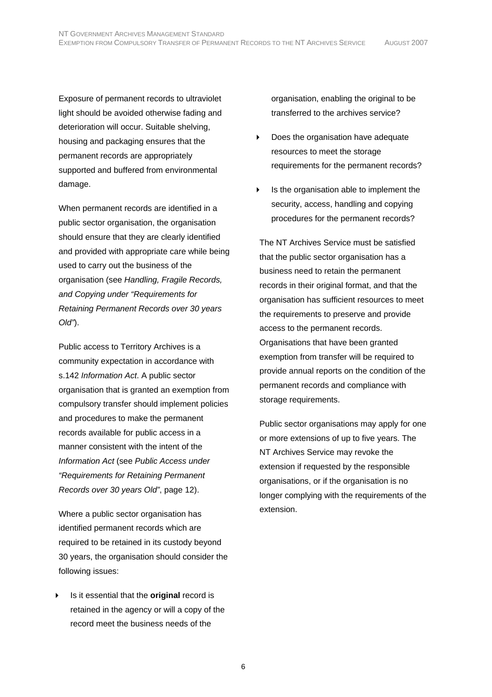Exposure of permanent records to ultraviolet light should be avoided otherwise fading and deterioration will occur. Suitable shelving, housing and packaging ensures that the permanent records are appropriately supported and buffered from environmental damage.

When permanent records are identified in a public sector organisation, the organisation should ensure that they are clearly identified and provided with appropriate care while being used to carry out the business of the organisation (see *Handling, Fragile Records, and Copying under "Requirements for Retaining Permanent Records over 30 years Old"*).

Public access to Territory Archives is a community expectation in accordance with s.142 *Information Act*. A public sector organisation that is granted an exemption from compulsory transfer should implement policies and procedures to make the permanent records available for public access in a manner consistent with the intent of the *Information Act* (see *Public Access under "Requirements for Retaining Permanent Records over 30 years Old"*, page 12).

Where a public sector organisation has identified permanent records which are required to be retained in its custody beyond 30 years, the organisation should consider the following issues:

 Is it essential that the **original** record is retained in the agency or will a copy of the record meet the business needs of the

organisation, enabling the original to be transferred to the archives service?

- Does the organisation have adequate resources to meet the storage requirements for the permanent records?
- $\triangleright$  Is the organisation able to implement the security, access, handling and copying procedures for the permanent records?

The NT Archives Service must be satisfied that the public sector organisation has a business need to retain the permanent records in their original format, and that the organisation has sufficient resources to meet the requirements to preserve and provide access to the permanent records. Organisations that have been granted exemption from transfer will be required to provide annual reports on the condition of the permanent records and compliance with storage requirements.

Public sector organisations may apply for one or more extensions of up to five years. The NT Archives Service may revoke the extension if requested by the responsible organisations, or if the organisation is no longer complying with the requirements of the extension.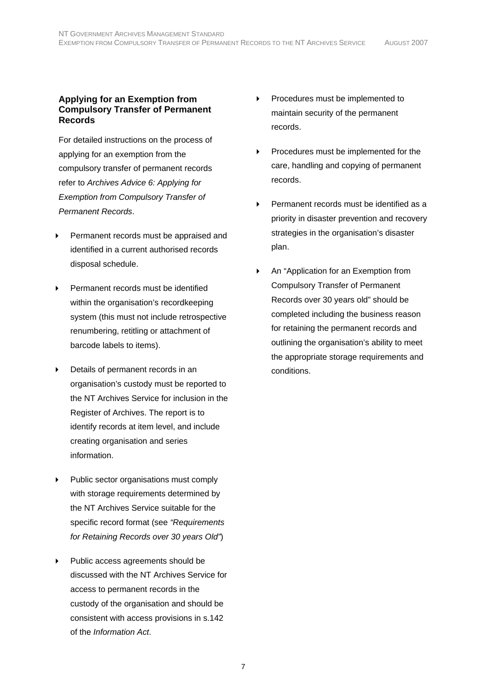#### **Applying for an Exemption from Compulsory Transfer of Permanent Records**

For detailed instructions on the process of applying for an exemption from the compulsory transfer of permanent records refer to *Archives Advice 6: Applying for Exemption from Compulsory Transfer of Permanent Records*.

- Permanent records must be appraised and identified in a current authorised records disposal schedule.
- Permanent records must be identified within the organisation's recordkeeping system (this must not include retrospective renumbering, retitling or attachment of barcode labels to items).
- Details of permanent records in an organisation's custody must be reported to the NT Archives Service for inclusion in the Register of Archives. The report is to identify records at item level, and include creating organisation and series information.
- Public sector organisations must comply with storage requirements determined by the NT Archives Service suitable for the specific record format (see *"Requirements for Retaining Records over 30 years Old"*)
- Public access agreements should be discussed with the NT Archives Service for access to permanent records in the custody of the organisation and should be consistent with access provisions in s.142 of the *Information Act*.
- Procedures must be implemented to maintain security of the permanent records.
- Procedures must be implemented for the care, handling and copying of permanent records.
- Permanent records must be identified as a priority in disaster prevention and recovery strategies in the organisation's disaster plan.
- An "Application for an Exemption from Compulsory Transfer of Permanent Records over 30 years old" should be completed including the business reason for retaining the permanent records and outlining the organisation's ability to meet the appropriate storage requirements and conditions.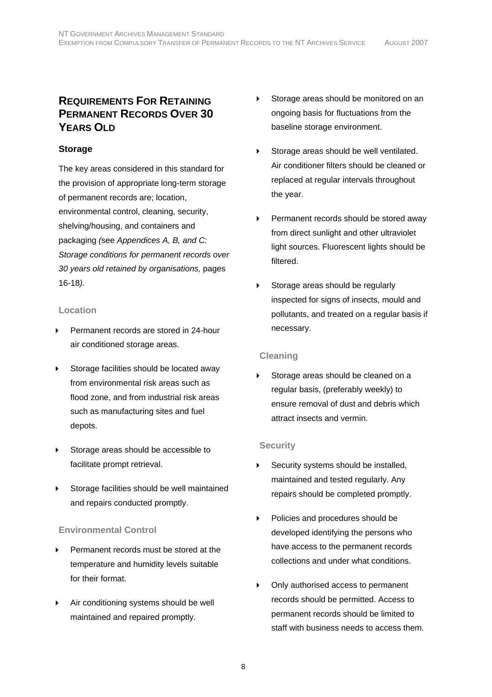# **REQUIREMENTS FOR RETAINING PERMANENT RECORDS OVER 30 YEARS OLD**

# **Storage**

The key areas considered in this standard for the provision of appropriate long-term storage of permanent records are; location, environmental control, cleaning, security, shelving/housing, and containers and packaging *(*see *Appendices A, B, and C: Storage conditions for permanent records over 30 years old retained by organisations,* pages 16-18*).*

#### **Location**

- Permanent records are stored in 24-hour air conditioned storage areas.
- Storage facilities should be located away from environmental risk areas such as flood zone, and from industrial risk areas such as manufacturing sites and fuel depots.
- Storage areas should be accessible to facilitate prompt retrieval.
- Storage facilities should be well maintained and repairs conducted promptly.

# **Environmental Control**

- Permanent records must be stored at the temperature and humidity levels suitable for their format.
- Air conditioning systems should be well maintained and repaired promptly.
- Storage areas should be monitored on an ongoing basis for fluctuations from the baseline storage environment.
- Storage areas should be well ventilated. Air conditioner filters should be cleaned or replaced at regular intervals throughout the year.
- Permanent records should be stored away from direct sunlight and other ultraviolet light sources. Fluorescent lights should be filtered.
- Storage areas should be regularly inspected for signs of insects, mould and pollutants, and treated on a regular basis if necessary.

#### **Cleaning**

 Storage areas should be cleaned on a regular basis, (preferably weekly) to ensure removal of dust and debris which attract insects and vermin.

#### **Security**

- Security systems should be installed, maintained and tested regularly. Any repairs should be completed promptly.
- ▶ Policies and procedures should be developed identifying the persons who have access to the permanent records collections and under what conditions.
- ▶ Only authorised access to permanent records should be permitted. Access to permanent records should be limited to staff with business needs to access them.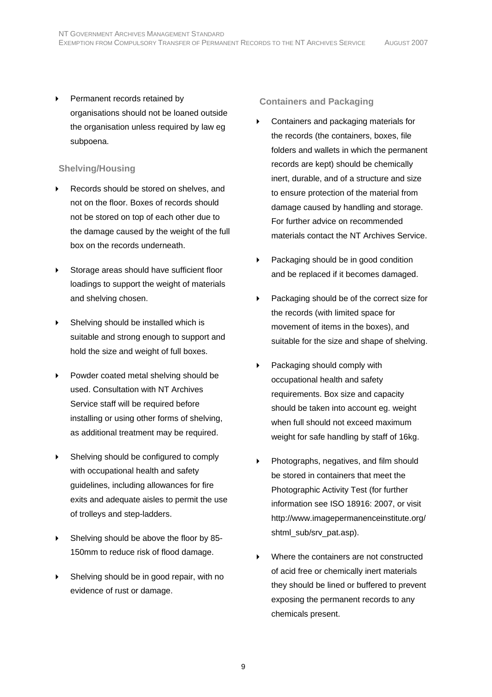Permanent records retained by organisations should not be loaned outside the organisation unless required by law eg subpoena.

# **Shelving/Housing**

- Records should be stored on shelves, and not on the floor. Boxes of records should not be stored on top of each other due to the damage caused by the weight of the full box on the records underneath.
- Storage areas should have sufficient floor loadings to support the weight of materials and shelving chosen.
- ▶ Shelving should be installed which is suitable and strong enough to support and hold the size and weight of full boxes.
- Powder coated metal shelving should be used. Consultation with NT Archives Service staff will be required before installing or using other forms of shelving, as additional treatment may be required.
- Shelving should be configured to comply with occupational health and safety guidelines, including allowances for fire exits and adequate aisles to permit the use of trolleys and step-ladders.
- Shelving should be above the floor by 85- 150mm to reduce risk of flood damage.
- Shelving should be in good repair, with no evidence of rust or damage.

# **Containers and Packaging**

- Containers and packaging materials for the records (the containers, boxes, file folders and wallets in which the permanent records are kept) should be chemically inert, durable, and of a structure and size to ensure protection of the material from damage caused by handling and storage. For further advice on recommended materials contact the NT Archives Service.
- Packaging should be in good condition and be replaced if it becomes damaged.
- Packaging should be of the correct size for the records (with limited space for movement of items in the boxes), and suitable for the size and shape of shelving.
- Packaging should comply with occupational health and safety requirements. Box size and capacity should be taken into account eg. weight when full should not exceed maximum weight for safe handling by staff of 16kg.
- Photographs, negatives, and film should be stored in containers that meet the Photographic Activity Test (for further information see ISO 18916: 2007, or visit http://www.imagepermanenceinstitute.org/ shtml\_sub/srv\_pat.asp).
- Where the containers are not constructed of acid free or chemically inert materials they should be lined or buffered to prevent exposing the permanent records to any chemicals present.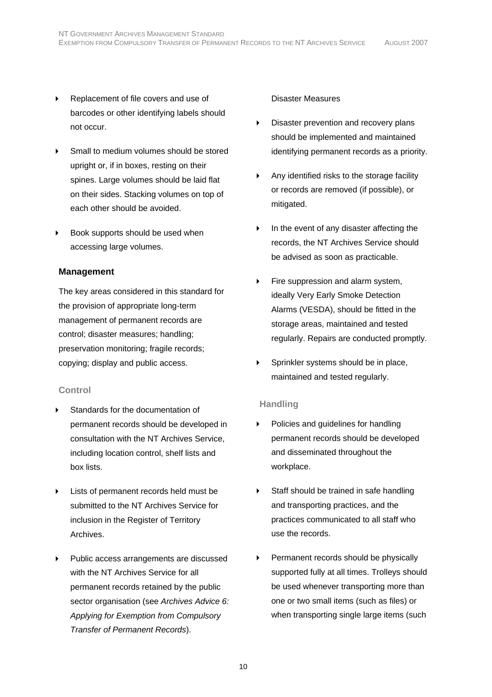- Replacement of file covers and use of barcodes or other identifying labels should not occur.
- Small to medium volumes should be stored upright or, if in boxes, resting on their spines. Large volumes should be laid flat on their sides. Stacking volumes on top of each other should be avoided.
- Book supports should be used when accessing large volumes.

# **Management**

The key areas considered in this standard for the provision of appropriate long-term management of permanent records are control; disaster measures; handling; preservation monitoring; fragile records; copying; display and public access.

# **Control**

- Standards for the documentation of permanent records should be developed in consultation with the NT Archives Service, including location control, shelf lists and box lists.
- Lists of permanent records held must be submitted to the NT Archives Service for inclusion in the Register of Territory Archives.
- Public access arrangements are discussed with the NT Archives Service for all permanent records retained by the public sector organisation (see *Archives Advice 6: Applying for Exemption from Compulsory Transfer of Permanent Records*).

# Disaster Measures

- Disaster prevention and recovery plans should be implemented and maintained identifying permanent records as a priority.
- Any identified risks to the storage facility or records are removed (if possible), or mitigated.
- $\triangleright$  In the event of any disaster affecting the records, the NT Archives Service should be advised as soon as practicable.
- Fire suppression and alarm system, ideally Very Early Smoke Detection Alarms (VESDA), should be fitted in the storage areas, maintained and tested regularly. Repairs are conducted promptly.
- Sprinkler systems should be in place, maintained and tested regularly.

# **Handling**

- ▶ Policies and guidelines for handling permanent records should be developed and disseminated throughout the workplace.
- Staff should be trained in safe handling and transporting practices, and the practices communicated to all staff who use the records.
- Permanent records should be physically supported fully at all times. Trolleys should be used whenever transporting more than one or two small items (such as files) or when transporting single large items (such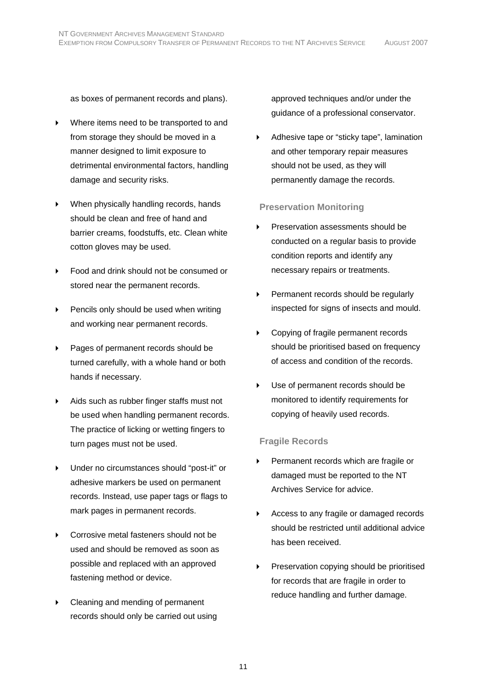as boxes of permanent records and plans).

- Where items need to be transported to and from storage they should be moved in a manner designed to limit exposure to detrimental environmental factors, handling damage and security risks.
- When physically handling records, hands should be clean and free of hand and barrier creams, foodstuffs, etc. Clean white cotton gloves may be used.
- Food and drink should not be consumed or stored near the permanent records.
- Pencils only should be used when writing and working near permanent records.
- Pages of permanent records should be turned carefully, with a whole hand or both hands if necessary.
- Aids such as rubber finger staffs must not be used when handling permanent records. The practice of licking or wetting fingers to turn pages must not be used.
- Under no circumstances should "post-it" or adhesive markers be used on permanent records. Instead, use paper tags or flags to mark pages in permanent records.
- ▶ Corrosive metal fasteners should not be used and should be removed as soon as possible and replaced with an approved fastening method or device.
- Cleaning and mending of permanent records should only be carried out using

approved techniques and/or under the guidance of a professional conservator.

Adhesive tape or "sticky tape", lamination and other temporary repair measures should not be used, as they will permanently damage the records.

# **Preservation Monitoring**

- Preservation assessments should be conducted on a regular basis to provide condition reports and identify any necessary repairs or treatments.
- Permanent records should be regularly inspected for signs of insects and mould.
- Copying of fragile permanent records should be prioritised based on frequency of access and condition of the records.
- Use of permanent records should be monitored to identify requirements for copying of heavily used records.

# **Fragile Records**

- Permanent records which are fragile or damaged must be reported to the NT Archives Service for advice.
- Access to any fragile or damaged records should be restricted until additional advice has been received.
- Preservation copying should be prioritised for records that are fragile in order to reduce handling and further damage.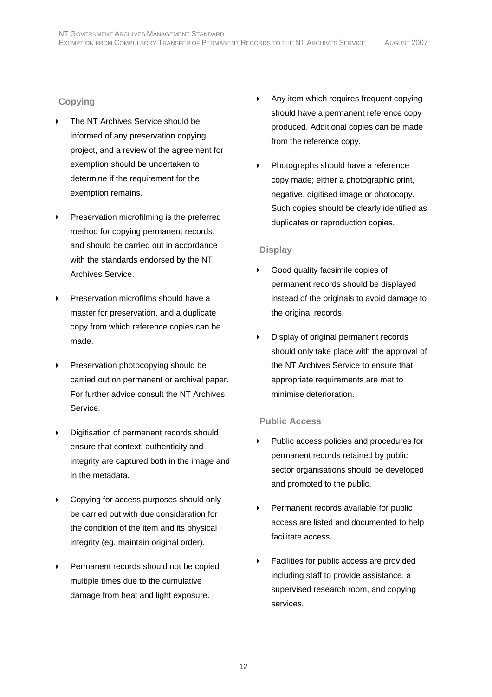# **Copying**

- The NT Archives Service should be informed of any preservation copying project, and a review of the agreement for exemption should be undertaken to determine if the requirement for the exemption remains.
- Preservation microfilming is the preferred method for copying permanent records, and should be carried out in accordance with the standards endorsed by the NT Archives Service.
- Preservation microfilms should have a master for preservation, and a duplicate copy from which reference copies can be made.
- Preservation photocopying should be carried out on permanent or archival paper. For further advice consult the NT Archives Service.
- Digitisation of permanent records should ensure that context, authenticity and integrity are captured both in the image and in the metadata.
- Copying for access purposes should only be carried out with due consideration for the condition of the item and its physical integrity (eg. maintain original order).
- Permanent records should not be copied multiple times due to the cumulative damage from heat and light exposure.
- Any item which requires frequent copying should have a permanent reference copy produced. Additional copies can be made from the reference copy.
- ▶ Photographs should have a reference copy made; either a photographic print, negative, digitised image or photocopy. Such copies should be clearly identified as duplicates or reproduction copies.

# **Display**

- Good quality facsimile copies of permanent records should be displayed instead of the originals to avoid damage to the original records.
- Display of original permanent records should only take place with the approval of the NT Archives Service to ensure that appropriate requirements are met to minimise deterioration.

# **Public Access**

- Public access policies and procedures for permanent records retained by public sector organisations should be developed and promoted to the public.
- **Permanent records available for public** access are listed and documented to help facilitate access.
- Facilities for public access are provided including staff to provide assistance, a supervised research room, and copying services.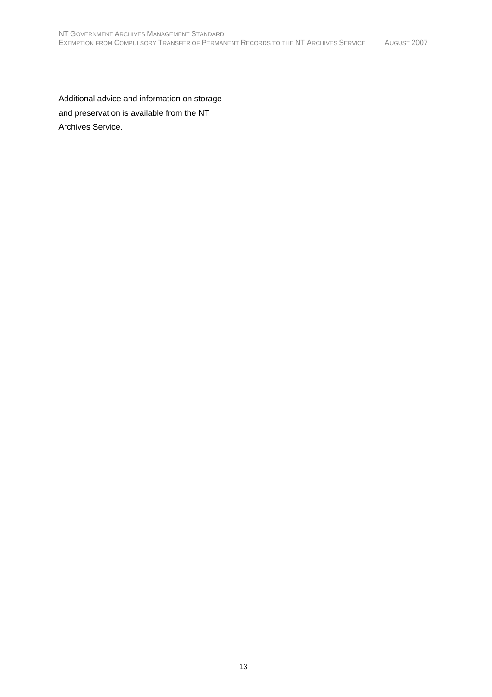Additional advice and information on storage and preservation is available from the NT Archives Service.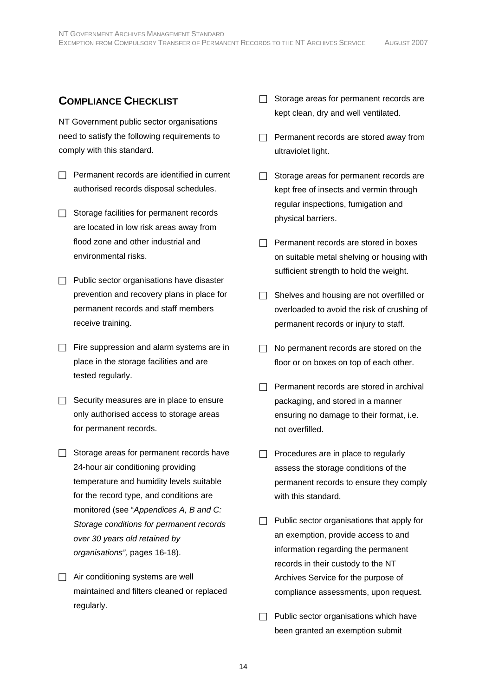# **COMPLIANCE CHECKLIST**

NT Government public sector organisations need to satisfy the following requirements to comply with this standard.

- $\Box$  Permanent records are identified in current authorised records disposal schedules.
- $\Box$  Storage facilities for permanent records are located in low risk areas away from flood zone and other industrial and environmental risks.
- $\Box$  Public sector organisations have disaster prevention and recovery plans in place for permanent records and staff members receive training.
- $\Box$  Fire suppression and alarm systems are in place in the storage facilities and are tested regularly.
- $\Box$  Security measures are in place to ensure only authorised access to storage areas for permanent records.
- $\Box$  Storage areas for permanent records have 24-hour air conditioning providing temperature and humidity levels suitable for the record type, and conditions are monitored (see "*Appendices A, B and C: Storage conditions for permanent records over 30 years old retained by organisations",* pages 16-18).
- $\Box$  Air conditioning systems are well maintained and filters cleaned or replaced regularly.
- $\Box$  Storage areas for permanent records are kept clean, dry and well ventilated.
- $\Box$  Permanent records are stored away from ultraviolet light.
- $\Box$  Storage areas for permanent records are kept free of insects and vermin through regular inspections, fumigation and physical barriers.
- $\Box$  Permanent records are stored in boxes on suitable metal shelving or housing with sufficient strength to hold the weight.
- $\Box$  Shelves and housing are not overfilled or overloaded to avoid the risk of crushing of permanent records or injury to staff.
- $\Box$  No permanent records are stored on the floor or on boxes on top of each other.
- $\Box$  Permanent records are stored in archival packaging, and stored in a manner ensuring no damage to their format, i.e. not overfilled.
- $\Box$  Procedures are in place to regularly assess the storage conditions of the permanent records to ensure they comply with this standard.
- $\Box$  Public sector organisations that apply for an exemption, provide access to and information regarding the permanent records in their custody to the NT Archives Service for the purpose of compliance assessments, upon request.
- $\Box$  Public sector organisations which have been granted an exemption submit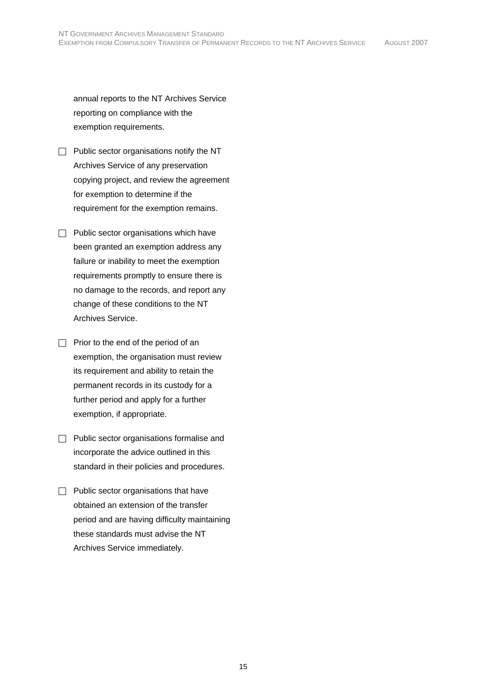annual reports to the NT Archives Service reporting on compliance with the exemption requirements.

- $\Box$  Public sector organisations notify the NT Archives Service of any preservation copying project, and review the agreement for exemption to determine if the requirement for the exemption remains.
- $\Box$  Public sector organisations which have been granted an exemption address any failure or inability to meet the exemption requirements promptly to ensure there is no damage to the records, and report any change of these conditions to the NT Archives Service.
- $\Box$  Prior to the end of the period of an exemption, the organisation must review its requirement and ability to retain the permanent records in its custody for a further period and apply for a further exemption, if appropriate.
- $\Box$  Public sector organisations formalise and incorporate the advice outlined in this standard in their policies and procedures.
- $\Box$  Public sector organisations that have obtained an extension of the transfer period and are having difficulty maintaining these standards must advise the NT Archives Service immediately.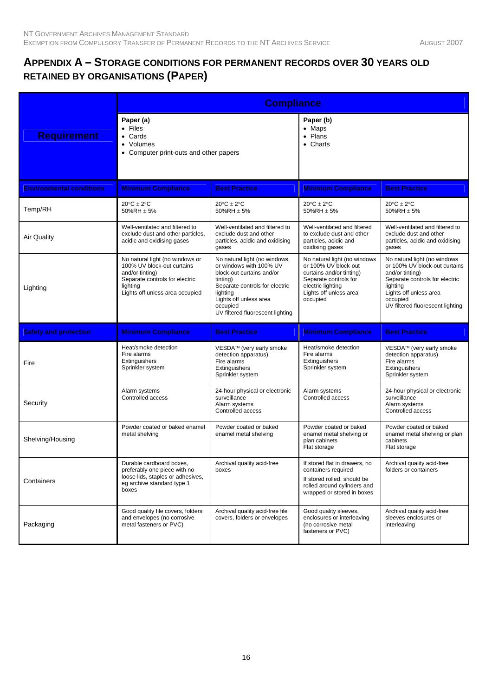# **APPENDIX A – STORAGE CONDITIONS FOR PERMANENT RECORDS OVER 30 YEARS OLD RETAINED BY ORGANISATIONS (PAPER)**

|                                 |                                                                                                                                                                   | <b>Compliance</b>                                                                                                                                                                                                         |                                                                                                                                                                      |                                                                                                                                                                                                          |  |  |
|---------------------------------|-------------------------------------------------------------------------------------------------------------------------------------------------------------------|---------------------------------------------------------------------------------------------------------------------------------------------------------------------------------------------------------------------------|----------------------------------------------------------------------------------------------------------------------------------------------------------------------|----------------------------------------------------------------------------------------------------------------------------------------------------------------------------------------------------------|--|--|
| <b>Requirement</b>              | Paper (a)<br>$\bullet$ Files<br>• Cards<br>• Volumes<br>• Computer print-outs and other papers                                                                    |                                                                                                                                                                                                                           | Paper (b)<br>$\bullet$ Maps<br>• Plans<br>• Charts                                                                                                                   |                                                                                                                                                                                                          |  |  |
| <b>Environmental conditions</b> | <b>Minimum Compliance</b>                                                                                                                                         | <b>Best Practice</b>                                                                                                                                                                                                      | <b>Minimum Compliance</b>                                                                                                                                            | <b>Best Practice</b>                                                                                                                                                                                     |  |  |
| Temp/RH                         | $20^{\circ}$ C $\pm$ 2°C<br>50%RH $\pm$ 5%                                                                                                                        | $20^{\circ}$ C $\pm$ 2°C<br>50%RH $\pm$ 5%                                                                                                                                                                                | $20^{\circ}$ C $\pm$ 2°C<br>50%RH $\pm$ 5%                                                                                                                           | $20^{\circ}$ C $\pm$ 2°C<br>50%RH ± 5%                                                                                                                                                                   |  |  |
| Air Quality                     | Well-ventilated and filtered to<br>exclude dust and other particles,<br>acidic and oxidising gases                                                                | Well-ventilated and filtered to<br>exclude dust and other<br>particles, acidic and oxidising<br>gases                                                                                                                     | Well-ventilated and filtered<br>to exclude dust and other<br>particles, acidic and<br>oxidising gases                                                                | Well-ventilated and filtered to<br>exclude dust and other<br>particles, acidic and oxidising<br>gases                                                                                                    |  |  |
| Lighting                        | No natural light (no windows or<br>100% UV block-out curtains<br>and/or tinting)<br>Separate controls for electric<br>lighting<br>Lights off unless area occupied | No natural light (no windows,<br>or windows with 100% UV<br>block-out curtains and/or<br>tinting)<br>Separate controls for electric<br>lighting<br>Lights off unless area<br>occupied<br>UV filtered fluorescent lighting | No natural light (no windows<br>or 100% UV block-out<br>curtains and/or tinting)<br>Separate controls for<br>electric lighting<br>Lights off unless area<br>occupied | No natural light (no windows<br>or 100% UV block-out curtains<br>and/or tinting)<br>Separate controls for electric<br>lighting<br>Lights off unless area<br>occupied<br>UV filtered fluorescent lighting |  |  |
| <b>Safety and protection</b>    | <b>Minimum Compliance</b>                                                                                                                                         | <b>Best Practice</b>                                                                                                                                                                                                      | <b>Minimum Compliance</b>                                                                                                                                            | <b>Best Practice</b>                                                                                                                                                                                     |  |  |
| Fire                            | Heat/smoke detection<br>Fire alarms<br>Extinguishers<br>Sprinkler system                                                                                          | VESDA™ (very early smoke<br>detection apparatus)<br>Fire alarms<br>Extinguishers<br>Sprinkler system                                                                                                                      | Heat/smoke detection<br>Fire alarms<br>Extinguishers<br>Sprinkler system                                                                                             | VESDA™ (very early smoke<br>detection apparatus)<br>Fire alarms<br>Extinguishers<br>Sprinkler system                                                                                                     |  |  |
| Security                        | Alarm systems<br>Controlled access                                                                                                                                | 24-hour physical or electronic<br>surveillance<br>Alarm systems<br>Controlled access                                                                                                                                      | Alarm systems<br>Controlled access                                                                                                                                   | 24-hour physical or electronic<br>surveillance<br>Alarm systems<br>Controlled access                                                                                                                     |  |  |
| Shelving/Housing                | Powder coated or baked enamel<br>metal shelving                                                                                                                   | Powder coated or baked<br>enamel metal shelving                                                                                                                                                                           | Powder coated or baked<br>enamel metal shelving or<br>plan cabinets<br>Flat storage                                                                                  | Powder coated or baked<br>enamel metal shelving or plan<br>cabinets<br>Flat storage                                                                                                                      |  |  |
| Containers                      | Durable cardboard boxes,<br>preferably one piece with no<br>loose lids, staples or adhesives,<br>eg archive standard type 1<br>boxes                              | Archival quality acid-free<br>boxes                                                                                                                                                                                       | If stored flat in drawers, no<br>containers required<br>If stored rolled, should be<br>rolled around cylinders and<br>wrapped or stored in boxes                     | Archival quality acid-free<br>folders or containers                                                                                                                                                      |  |  |
| Packaging                       | Good quality file covers, folders<br>and envelopes (no corrosive<br>metal fasteners or PVC)                                                                       | Archival quality acid-free file<br>covers, folders or envelopes                                                                                                                                                           | Good quality sleeves,<br>enclosures or interleaving<br>(no corrosive metal<br>fasteners or PVC)                                                                      | Archival quality acid-free<br>sleeves enclosures or<br>interleaving                                                                                                                                      |  |  |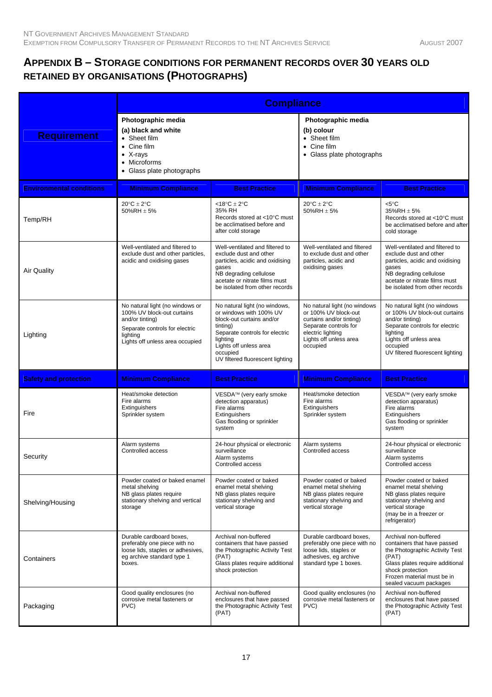# **APPENDIX B – STORAGE CONDITIONS FOR PERMANENT RECORDS OVER 30 YEARS OLD RETAINED BY ORGANISATIONS (PHOTOGRAPHS)**

|                                 | <b>Compliance</b>                                                                                                                                                 |                                                                                                                                                                                                                           |                                                                                                                                                                      |                                                                                                                                                                                                                |
|---------------------------------|-------------------------------------------------------------------------------------------------------------------------------------------------------------------|---------------------------------------------------------------------------------------------------------------------------------------------------------------------------------------------------------------------------|----------------------------------------------------------------------------------------------------------------------------------------------------------------------|----------------------------------------------------------------------------------------------------------------------------------------------------------------------------------------------------------------|
| <b>Requirement</b>              | Photographic media<br>(a) black and white<br>• Sheet film<br>Cine film<br>X-rays<br>$\bullet$<br>• Microforms<br>• Glass plate photographs                        |                                                                                                                                                                                                                           | Photographic media<br>(b) colour<br>• Sheet film<br>$\bullet$ Cine film<br>• Glass plate photographs                                                                 |                                                                                                                                                                                                                |
| <b>Environmental conditions</b> | <b>Minimum Compliance</b>                                                                                                                                         | <b>Best Practice</b>                                                                                                                                                                                                      | <b>Minimum Compliance</b>                                                                                                                                            | <b>Best Practice</b>                                                                                                                                                                                           |
| Temp/RH                         | $20^{\circ}$ C $\pm$ 2°C<br>$50\%$ RH $\pm$ 5%                                                                                                                    | <18 $^{\circ}$ C $\pm$ 2 $^{\circ}$ C<br>35% RH<br>Records stored at <10°C must<br>be acclimatised before and<br>after cold storage                                                                                       | $20^{\circ}$ C $\pm$ 2°C<br>$50\%$ RH $\pm$ 5%                                                                                                                       | $< 5^{\circ}$ C<br>35%RH ± 5%<br>Records stored at <10°C must<br>be acclimatised before and after<br>cold storage                                                                                              |
| Air Quality                     | Well-ventilated and filtered to<br>exclude dust and other particles,<br>acidic and oxidising gases                                                                | Well-ventilated and filtered to<br>exclude dust and other<br>particles, acidic and oxidising<br>gases<br>NB degrading cellulose<br>acetate or nitrate films must<br>be isolated from other records                        | Well-ventilated and filtered<br>to exclude dust and other<br>particles, acidic and<br>oxidising gases                                                                | Well-ventilated and filtered to<br>exclude dust and other<br>particles, acidic and oxidising<br>gases<br>NB degrading cellulose<br>acetate or nitrate films must<br>be isolated from other records             |
| Lighting                        | No natural light (no windows or<br>100% UV block-out curtains<br>and/or tinting)<br>Separate controls for electric<br>lighting<br>Lights off unless area occupied | No natural light (no windows,<br>or windows with 100% UV<br>block-out curtains and/or<br>tinting)<br>Separate controls for electric<br>lighting<br>Lights off unless area<br>occupied<br>UV filtered fluorescent lighting | No natural light (no windows<br>or 100% UV block-out<br>curtains and/or tinting)<br>Separate controls for<br>electric lighting<br>Lights off unless area<br>occupied | No natural light (no windows<br>or 100% UV block-out curtains<br>and/or tinting)<br>Separate controls for electric<br>lighting<br>Lights off unless area<br>occupied<br>UV filtered fluorescent lighting       |
| <b>Safety and protection</b>    | <b>Minimum Compliance</b>                                                                                                                                         | <b>Best Practice</b>                                                                                                                                                                                                      | <b>Minimum Compliance</b>                                                                                                                                            | <b>Best Practice</b>                                                                                                                                                                                           |
| Fire                            | Heat/smoke detection<br>Fire alarms<br>Extinguishers<br>Sprinkler system                                                                                          | VESDA™ (very early smoke<br>detection apparatus)<br>Fire alarms<br>Extinguishers<br>Gas flooding or sprinkler<br>system                                                                                                   | Heat/smoke detection<br>Fire alarms<br>Extinguishers<br>Sprinkler system                                                                                             | VESDA™ (very early smoke<br>detection apparatus)<br>Fire alarms<br>Extinguishers<br>Gas flooding or sprinkler<br>system                                                                                        |
| Security                        | Alarm systems<br>Controlled access                                                                                                                                | 24-hour physical or electronic<br>surveillance<br>Alarm systems<br>Controlled access                                                                                                                                      | Alarm systems<br>Controlled access                                                                                                                                   | 24-hour physical or electronic<br>surveillance<br>Alarm systems<br>Controlled access                                                                                                                           |
| Shelving/Housing                | Powder coated or baked enamel<br>metal shelving<br>NB glass plates require<br>stationary shelving and vertical<br>storage                                         | Powder coated or baked<br>enamel metal shelving<br>NB glass plates require<br>stationary shelving and<br>vertical storage                                                                                                 | Powder coated or baked<br>enamel metal shelving<br>NB glass plates require<br>stationary shelving and<br>vertical storage                                            | Powder coated or baked<br>enamel metal shelving<br>NB glass plates require<br>stationary shelving and<br>vertical storage<br>(may be in a freezer or<br>refrigerator)                                          |
| Containers                      | Durable cardboard boxes,<br>preferably one piece with no<br>loose lids, staples or adhesives,<br>eq archive standard type 1<br>boxes.                             | Archival non-buffered<br>containers that have passed<br>the Photographic Activity Test<br>(PAT)<br>Glass plates require additional<br>shock protection                                                                    | Durable cardboard boxes,<br>preferably one piece with no<br>loose lids, staples or<br>adhesives, eg archive<br>standard type 1 boxes.                                | Archival non-buffered<br>containers that have passed<br>the Photographic Activity Test<br>(PAT)<br>Glass plates require additional<br>shock protection<br>Frozen material must be in<br>sealed vacuum packages |
| Packaging                       | Good quality enclosures (no<br>corrosive metal fasteners or<br>PVC)                                                                                               | Archival non-buffered<br>enclosures that have passed<br>the Photographic Activity Test<br>(PAT)                                                                                                                           | Good quality enclosures (no<br>corrosive metal fasteners or<br>PVC)                                                                                                  | Archival non-buffered<br>enclosures that have passed<br>the Photographic Activity Test<br>(PAT)                                                                                                                |